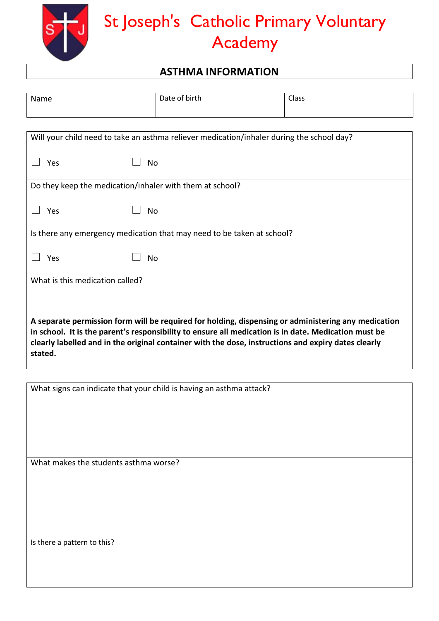

## St Joseph's Catholic Primary Voluntary Academy

## **ASTHMA INFORMATION**

| Name                                                                                                                                                                                                                                                                                                                          | Date of birth                                                          | Class |  |
|-------------------------------------------------------------------------------------------------------------------------------------------------------------------------------------------------------------------------------------------------------------------------------------------------------------------------------|------------------------------------------------------------------------|-------|--|
|                                                                                                                                                                                                                                                                                                                               |                                                                        |       |  |
| Will your child need to take an asthma reliever medication/inhaler during the school day?                                                                                                                                                                                                                                     |                                                                        |       |  |
| Yes<br>No                                                                                                                                                                                                                                                                                                                     |                                                                        |       |  |
| Do they keep the medication/inhaler with them at school?                                                                                                                                                                                                                                                                      |                                                                        |       |  |
| Yes<br>No                                                                                                                                                                                                                                                                                                                     |                                                                        |       |  |
|                                                                                                                                                                                                                                                                                                                               | Is there any emergency medication that may need to be taken at school? |       |  |
| Yes<br>No                                                                                                                                                                                                                                                                                                                     |                                                                        |       |  |
| What is this medication called?                                                                                                                                                                                                                                                                                               |                                                                        |       |  |
| A separate permission form will be required for holding, dispensing or administering any medication<br>in school. It is the parent's responsibility to ensure all medication is in date. Medication must be<br>clearly labelled and in the original container with the dose, instructions and expiry dates clearly<br>stated. |                                                                        |       |  |

| What signs can indicate that your child is having an asthma attack? |
|---------------------------------------------------------------------|
|                                                                     |
| What makes the students asthma worse?                               |
|                                                                     |
| Is there a pattern to this?                                         |